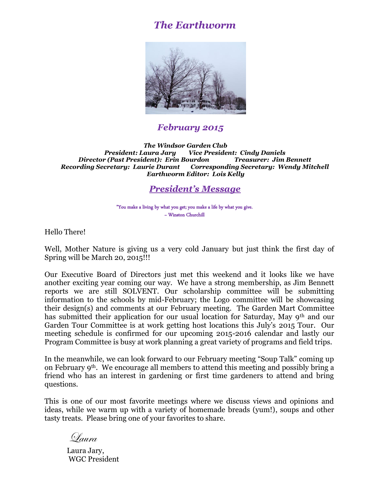# *The Earthworm*



# *February 2015*

*The Windsor Garden Club President: Laura Jary Vice President: Cindy Daniels Director (Past President): Erin Bourdon Treasurer: Jim Bennett Recording Secretary: Laurie Durant Corresponding Secretary: Wendy Mitchell Earthworm Editor: Lois Kelly*

## *President's Message*

 "You make a living by what you get; you make a life by what you give.  $\sim$  Winston Churchill

Hello There!

Well, Mother Nature is giving us a very cold January but just think the first day of Spring will be March 20, 2015!!!

Our Executive Board of Directors just met this weekend and it looks like we have another exciting year coming our way. We have a strong membership, as Jim Bennett reports we are still SOLVENT. Our scholarship committee will be submitting information to the schools by mid-February; the Logo committee will be showcasing their design(s) and comments at our February meeting. The Garden Mart Committee has submitted their application for our usual location for Saturday, May 9th and our Garden Tour Committee is at work getting host locations this July's 2015 Tour. Our meeting schedule is confirmed for our upcoming 2015-2016 calendar and lastly our Program Committee is busy at work planning a great variety of programs and field trips.

In the meanwhile, we can look forward to our February meeting "Soup Talk" coming up on February 9th. We encourage all members to attend this meeting and possibly bring a friend who has an interest in gardening or first time gardeners to attend and bring questions.

This is one of our most favorite meetings where we discuss views and opinions and ideas, while we warm up with a variety of homemade breads (yum!), soups and other tasty treats. Please bring one of your favorites to share.

Laura

Laura Jary, WGC President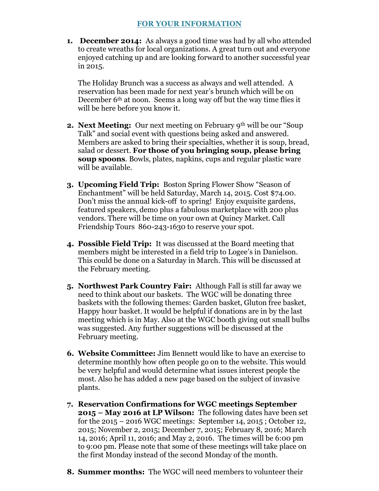**1. December 2014:** As always a good time was had by all who attended to create wreaths for local organizations. A great turn out and everyone enjoyed catching up and are looking forward to another successful year in 2015.

The Holiday Brunch was a success as always and well attended. A reservation has been made for next year's brunch which will be on December 6th at noon. Seems a long way off but the way time flies it will be here before you know it.

- **2. Next Meeting:** Our next meeting on February 9th will be our "Soup Talk" and social event with questions being asked and answered. Members are asked to bring their specialties, whether it is soup, bread, salad or dessert. **For those of you bringing soup, please bring soup spoons**. Bowls, plates, napkins, cups and regular plastic ware will be available.
- **3. Upcoming Field Trip:** Boston Spring Flower Show "Season of Enchantment" will be held Saturday, March 14, 2015. Cost \$74.00. Don't miss the annual kick-off to spring! Enjoy exquisite gardens, featured speakers, demo plus a fabulous marketplace with 200 plus vendors. There will be time on your own at Quincy Market. Call Friendship Tours 860-243-1630 to reserve your spot.
- **4. Possible Field Trip:** It was discussed at the Board meeting that members might be interested in a field trip to Logee's in Danielson. This could be done on a Saturday in March. This will be discussed at the February meeting.
- **5. Northwest Park Country Fair:** Although Fall is still far away we need to think about our baskets. The WGC will be donating three baskets with the following themes: Garden basket, Gluton free basket, Happy hour basket. It would be helpful if donations are in by the last meeting which is in May. Also at the WGC booth giving out small bulbs was suggested. Any further suggestions will be discussed at the February meeting.
- **6. Website Committee:** Jim Bennett would like to have an exercise to determine monthly how often people go on to the website. This would be very helpful and would determine what issues interest people the most. Also he has added a new page based on the subject of invasive plants.
- **7. Reservation Confirmations for WGC meetings September 2015 – May 2016 at LP Wilson:** The following dates have been set for the 2015 – 2016 WGC meetings: September 14, 2015 ; October 12, 2015; November 2, 2015; December 7, 2015; February 8, 2016; March 14, 2016; April 11, 2016; and May 2, 2016. The times will be 6:00 pm to 9:00 pm. Please note that some of these meetings will take place on the first Monday instead of the second Monday of the month.
- **8. Summer months:** The WGC will need members to volunteer their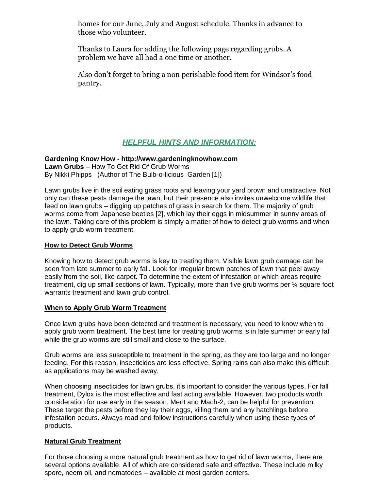homes for our June, July and August schedule. Thanks in advance to those who volunteer.

Thanks to Laura for adding the following page regarding grubs. A problem we have all had a one time or another.

Also don't forget to bring a non perishable food item for Windsor's food pantry.

# *HELPFUL HINTS AND INFORMATION:*

#### **Gardening Know How - http://www.gardeningknowhow.com Lawn Grubs** – How To Get Rid Of Grub Worms

By Nikki Phipps (Author of The Bulb-o-licious Garden [1])

Lawn grubs live in the soil eating grass roots and leaving your yard brown and unattractive. Not only can these pests damage the lawn, but their presence also invites unwelcome wildlife that feed on lawn grubs – digging up patches of grass in search for them. The majority of grub worms come from Japanese beetles [2], which lay their eggs in midsummer in sunny areas of the lawn. Taking care of this problem is simply a matter of how to detect grub worms and when to apply grub worm treatment.

### **How to Detect Grub Worms**

Knowing how to detect grub worms is key to treating them. Visible lawn grub damage can be seen from late summer to early fall. Look for irregular brown patches of lawn that peel away easily from the soil, like carpet. To determine the extent of infestation or which areas require treatment, dig up small sections of lawn. Typically, more than five grub worms per ¼ square foot warrants treatment and lawn grub control.

### **When to Apply Grub Worm Treatment**

Once lawn grubs have been detected and treatment is necessary, you need to know when to apply grub worm treatment. The best time for treating grub worms is in late summer or early fall while the grub worms are still small and close to the surface.

Grub worms are less susceptible to treatment in the spring, as they are too large and no longer feeding. For this reason, insecticides are less effective. Spring rains can also make this difficult, as applications may be washed away.

When choosing insecticides for lawn grubs, it's important to consider the various types. For fall treatment, Dylox is the most effective and fast acting available. However, two products worth consideration for use early in the season, Merit and Mach-2, can be helpful for prevention. These target the pests before they lay their eggs, killing them and any hatchlings before infestation occurs. Always read and follow instructions carefully when using these types of products.

### **Natural Grub Treatment**

For those choosing a more natural grub treatment as how to get rid of lawn worms, there are several options available. All of which are considered safe and effective. These include milky spore, neem oil, and nematodes – available at most garden centers.